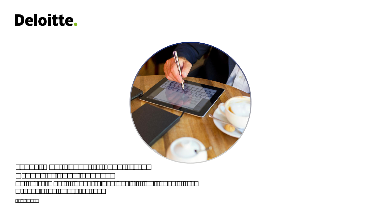# **Deloitte.**



### **Investment Industry Regulatory Organization of Canada**

An Assessment of Benefits and Costs of Self-Regulatory Organization Consolidation

July 2020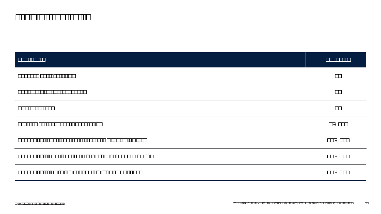### Table of Contents

| <b>Contents</b>                                     | Page(s)   |
|-----------------------------------------------------|-----------|
| <b>Engagement Overview</b>                          | 3         |
| The Consolidation Scenario                          | 4         |
| Our Approach                                        | 5         |
| Assessment of Benefits and Costs                    | $6 - 12$  |
| Appendix I: Our Approach to Information Collection  | $13 - 19$ |
| Appendix II: Our Approach to Estimate Reduced Costs | $20 - 25$ |
| Appendix III: Disclaimers and Limiting Conditions   | $26 - 27$ |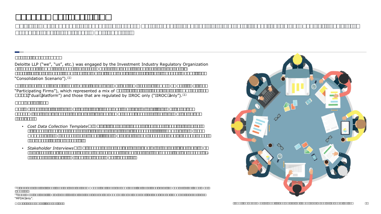### <span id="page-2-0"></span>Engagement Overview

Deloitte was engaged to conduct an assessment of benefits and costs of a potential consolidation between self-regulatory organizations in the investment industry.

#### **Project Background**

Deloitte LLP ("we", "us", etc.) was engaged by the Investment Industry Regulatory Organization of Canada (IIROC) to conduct an assessment of the benefits and costs of a potential consolidation between IIROC and the Mutual Fund Dealers Association of Canada (MFDA) (the "Consolidation Scenario").<sup>1</sup>

As the key input to our study, we collected information from several IIROC member firms (the "Participating Firms"), which represented a mix of entities that are regulated by IIROC and the MFDA ("dual-platform") and those that are regulated by IIROC only ("IIROC-only").<sup>2</sup>

### **Key Activities**

 Our method to collect information for this study was two-fold, with all information being anonymized to help ensure the objectivity and comprehensiveness of the information being received:

- *Cost Data Collection Template*: We distributed a standardized questionnaire to gather (i) general business characteristics data (e.g., total revenues), (ii) IIROC-platform and MFDA-platform expense data, and (iii) estimates as to how expenses would change under the Consolidation Scenario.
- • *Stakeholder Interviews*: We conducted extensive interviews with the Participating Firms to discuss their perspectives on the key benefits and costs of the Consolidation Scenario – to investors, their firm, and the investment industry.

<sup>1</sup> Please note that this report does not provide recommendations regarding SRO consolidation or regulatory frameworks in the investment industry.

2 Investment advisory firms with entities that are regulated by the MFDA but do not have entities regulated by IIROC are referred to as "MFDA-only".

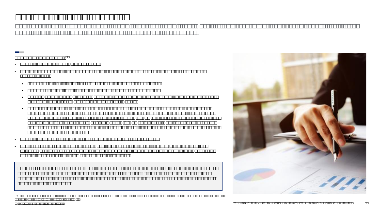#### IIROC | An Assessment of Benefits and Costs of Self-Regulatory Organization Consolidation

### <span id="page-3-0"></span>The Consolidation Scenario

The Consolidation Scenario under review is defined below. The impact of this scenario was analyzed relative to the statusquo, in which the IIROC and the MFDA rules remain unchanged.

#### **Consolidation Scenario1**

- • Consolidation of IIROC with the MFDA.
- • For both IIROC dealers and MFDA dealers, the type of business and rules will continue post consolidation:
	- IIROC dealers will initially continue to operate under IIROC rules.
	- MFDA dealers will initially continue to operate under MFDA rules.
	- • Over time, the rules will be harmonized, with regulation proportionate (relative to the risks to investors and/or the markets) to the business model.
	- • Dual-platform dealers will have the choice to consolidate on the IIROC platform, with their mutual fund representatives exempted from the following IIROC requirements: (i) having to upgrade to unrestricted license category, (ii) IIROC minimum proficiency, continuing education and training (so long as they meet the MFDA minimums) for investment funds and exchange traded funds (ETFs), and (iii) commission redirection will continue on a grandfathered basis for mutual fund representatives.
- Consolidation applies to all provinces and territories except Quebec.
- • The scenario does not consider the impacts on MFDA-only dealers of permitting introduction dealers and their clients of improved ETF distribution. arrangements between MFDA dealers and IIROC dealers or, the resulting benefits to MFDA-only

 The assessment focuses on the impacts of the consolidation of the two self-regulatory frameworks on the regulated members (i.e., dual-platform investment firms) and investors. There could be additional benefits and/or costs related to the consolidation of IIROC and MFDA, as organizations, additional benefits and/or<br>that were not considered.

<sup>1</sup> This Consolidation Scenario as drafted and provided by IIROC was the baseline for our analysis as communicated during phone conversations and inperson meetings with the Participating Firms.

© Deloitte LLP and affiliated entities.

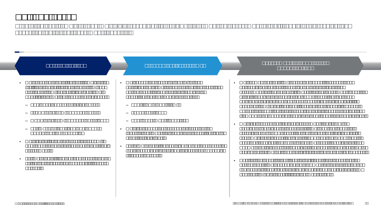### <span id="page-4-0"></span>Our Approach

 consolidation in the investment industry. A detailed cost template, and multiple stakeholder interviews, informed the assessment of self-regulatory organization

| <b>Data Collection</b>                                                                                                                                                                                                                                                                                                                                                                                                                                                                                                                                                          | <b>Stakeholder Interviews</b>                                                                                                                                                                                                                                                                                                                                                                                                                                                                                       | <b>Assessment of Regulatory</b><br><b>Consolidation</b>                                                                                                                                                                                                                                                                                                                                                                                                                                                                                                                                                                                                                                                                                                                                                                                                                                                                                                                                                                                                                                                                                                                                                             |
|---------------------------------------------------------------------------------------------------------------------------------------------------------------------------------------------------------------------------------------------------------------------------------------------------------------------------------------------------------------------------------------------------------------------------------------------------------------------------------------------------------------------------------------------------------------------------------|---------------------------------------------------------------------------------------------------------------------------------------------------------------------------------------------------------------------------------------------------------------------------------------------------------------------------------------------------------------------------------------------------------------------------------------------------------------------------------------------------------------------|---------------------------------------------------------------------------------------------------------------------------------------------------------------------------------------------------------------------------------------------------------------------------------------------------------------------------------------------------------------------------------------------------------------------------------------------------------------------------------------------------------------------------------------------------------------------------------------------------------------------------------------------------------------------------------------------------------------------------------------------------------------------------------------------------------------------------------------------------------------------------------------------------------------------------------------------------------------------------------------------------------------------------------------------------------------------------------------------------------------------------------------------------------------------------------------------------------------------|
| • We prepared a detailed cost template to<br>facilitate the collection of both firm and<br>cost data from the Participating Firms.<br>Specific information requested included:<br>- Business characteristics data;<br>- IIROC platform expense data;<br>- MFDA platform expense data; and<br>- Estimate of cost savings under<br><b>Consolidation Scenario</b><br>• We also collected third-party economic<br>and industry data to leverage in our final<br>assessment.<br>• For more details on our approach to data<br>collection, please see Appendix I (Pages<br>$14-15$ ). | • We conducted consultations with the<br>Participating Firms to capture their perspective<br>on the benefits and costs of regulatory<br>consolidation that would accrue to:<br>$-$ Their individual firm;<br>- Investors; and<br>$-$ The investment industry<br>• We also conducted secondary research to<br>identify the impact of regulatory consolidation in<br>other jurisdictions.<br>• For a more detailed overview on our approach to<br>the stakeholder interviews, please see Appendix<br>I (Pages 16-19). | We segmented the firms based on annual revenues and<br>extrapolated the cost reduction data to arrive at an<br>assessment of the potential impact to the investment industry<br>of self-regulatory organization (SRO) consolidation. The<br>guiding principles and approach underlying this analysis is<br>adopted from guidelines published by the Financial Conduct<br>Authority (FCA) that are recognized as a standard evaluation<br>framework by Canadian regulatory and industry organizations.<br>We also focused on five key assessment topics - with<br>consideration given to investors, firms, and the industry -<br>associated with SRO consolidation. Given that this analysis<br>contemplates a consolidation of IIROC and the MFDA, and it<br>does not consider the Autorité des marchés financiers or the<br>Chambre de la sécurité financière, the benefits and costs were<br>evaluated for mutual fund activities carried on outside Quebec.<br>• Most of the benefits outlined in this report are expected to<br>accrue over time depending on a number of factors including<br>the pace of transition to a single dealer and advisor platform<br>and the timing of specific rule harmonization. |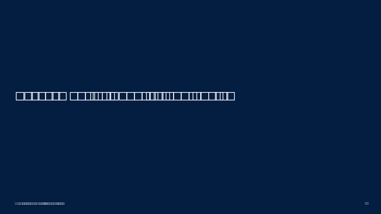## <span id="page-5-0"></span>**Assessment of Benefits and Costs**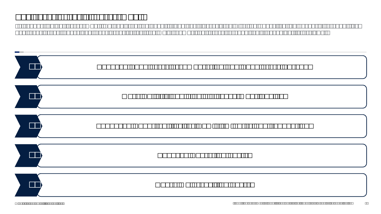### Key Focus Areas of Assessment

 In conducting our assessment, we explored the benefits and costs associated with the Consolidation Scenario through five key focus areas. These key focus areas reflect the main themes that arose through the stakeholder interviews.

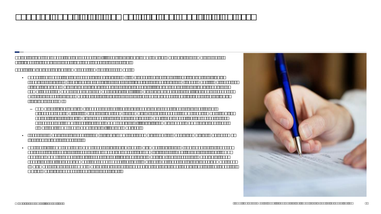### Reduced Regulatory Fragmentation and Regulatory Burden

 By definition, the Consolidation Scenario will result in a single SRO, which may help to promote greater efficiency in regulatory oversight and investor protection.

The following key insights emerged from our assessment:

- Under the Consolidation Scenario, dual-platform firms have the option of transitioning to a single regulatory platform. This has potential to create efficiencies for dual-platform investment firms, such as (i) building and maintaining a single regulatory relationship, (ii) being subject to a single regulatory compliance framework and enforcement discipline, (iii) maintaining one set of policies and procedures with reference to a harmonized set of rules, interpretation and guidance, and (iv) operating a single training program.
	- − Some Participating Firms suggested that the rules should be proportionate in order to not disadvantage smaller firms by forcing them to comply with extraneous IIROC requirements, which do not relate to their main product offerings or business model. The Consolidation Scenario, as proposed by IIROC, specifies that MFDA dealers will initially remain under MFDA rules and, over time, the IIROC and MFDA rules will be harmonized.
- • Investors may directly benefit from a single SRO. For example, how to make a complaint may become less confusing to investors.
- • Currently, IIROC and the MFDA separately review and implement rule reform and updates introduced by securities regulators, such as the Canadian Securities Administrators. Duplicated efforts by IIROC and the MFDA to update their respective policies and rules may slow the process of meaningful and consistent policy development. Through Consolidation, time that was invested in rule development and implementation across SROs may be redirected to enhancing the rules and regulations for the industry, which may also enhance regulatory oversight.

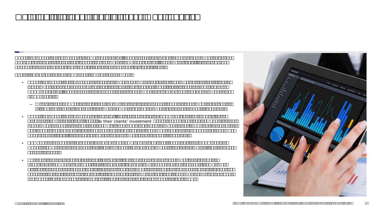Under the Consolidation Scenario, some investors will have access to a wider range of investment solutions and advice to better serve their needs. Furthermore, some advisors will have more flexibility to grow and expand to serve the evolving financial objectives and goals of their clients.

The following key insights emerged from our assessment:

- • Under the Consolidation Scenario investors may have more choice, as they may be less restricted to investment solutions based on the registration of their advisor. Specifically, investors working with MFDA dealers will have access to a broader set of investment solutions without having to move to an More Holistic and Flexible Investment Advice<br>
Under the Consolidation Scenario, some investors will have access to a wider range of inve<br>
and advice to better serve their needs. Furthermore, some advisors will have more fl IIROC dealer.
	- − With a larger number of registrants permitted to offer a broader range of investment solutions, it follows that there is potential for more competition, which may also serve to benefit investors.
	- • Under the Consolidation Scenario, there will be less obstacles for MFDA advisors that would like to progress from a restricted license, as their clients' investment needs change and they demand different investment product offerings. For example, they would not need to move to an IIROC registered entity. This benefit has potential to strengthen the talent pool of investment advisors in Canada, as they may have greater flexibility to evolve, which, in-turn, may serve to benefit investors.
	- when it comes to offering ETFs to clients. A consolidation could make it easier for more clients to have access to ETFs. Demand for products like ETFs is growing, and some operational challenges exist for MFDA dealers
	- • Currently there are obstacles to delivering efficient and coordinated investment service due to regulatory fragmentation. Specifically, the Participating Firms suggested that backup is sometimes difficult to secure for vacant portfolios (e.g., advisors who retire, advisors on vacation, etc.) given the need for the registration of the portfolio and adviser to match. This challenge may be mitigated under the Consolidation Scenario, in which all advisors are registered under a single SRO.

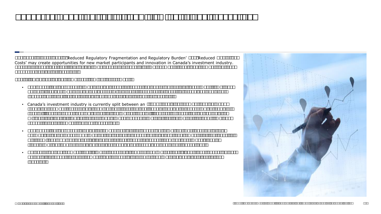Enhanced Opportunities for New Firm Entry and Innovation<br>
The benefits described in 'Reduced Regulatory Fragmentation and Regulatory Burden' and 'Reduced Operating<br>
Costs' may create opportunities for new market participan The benefits described in 'Reduced Regulatory Fragmentation and Regulatory Burden' and 'Reduced Operating Costs' may create opportunities for new market participants and innovation in Canada's investment industry. These are conditions that, in principle, may generate productivity improvements, additional competition, and enhanced service for investors.

The following key insights emerged from our assessment:

- • The Consolidation Scenario may provide scope to reduce the operating costs of investment firms. The potential savings may provide businesses with greater resources to invest in technology and other innovations to deliver better solutions and service offerings to investors.
- • Canada's investment industry is currently split between an IIROC-regulated segment and an MFDA- regulated segment. Accordingly, new entrants face the challenge of having to choose which regulator they will operate under and which part of the market they will address. A consolidation can help to mitigate this barrier, which, in-turn, would make Canada a more attractive market for new firms and support greater competition and innovation.
- • The Consolidation Scenario helps to remove barriers to innovation. Time that was invested in rule harmonization between SROs may be redirected to enhancing rules and requirements for the industry. A streamlined SRO has potential to be better positioned to support new business models and a transformation towards providing services enabled by technology and other innovations.
- • An operating environment that is more favourable towards new market participants and innovation has potential to support greater competition, productivity growth, and more valuable services to the investor.

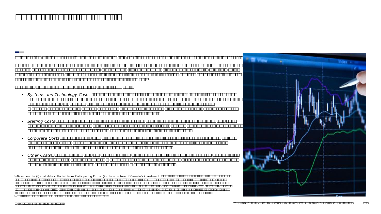### Reduced Operating Costs

As an outcome of SRO consolidation, dual-platform firms will have opportunities to reduce their operating costs.

 Our estimate of the net present value of the cost savings achieved by dual-platform investment firms over a 10 year time period ranges between approximately \$380 million and \$490 million CAD. These estimates primarily reflect savings in systems and technology, staffing costs, and corporate costs, among some other cost savings. Please see the footnote below for further details on this estimate. $1$ 

The following key insights emerged from our assessment:

- • *Systems and Technology Costs*2: A large potential cost saving for dual-platform dealers is expected to come from the consolidation of dual operating system platforms. While some firms have transitioned to a single IT platform, many firms still have separate regulatory, accounting, client relationship management, and order management systems. The costs of systems and technology would be reduced upon operating a single system, instead of two parallel systems.
- • *Staffing Costs*: Under the Consolidation Scenario, there may be opportunity for dual-platform firms to centralize their supervision, compliance, technology, operations, risk management, and audit groups. The extent of the savings depends on the amount of centralization already achieved.
- • *Corporate Costs*: Dual-platform firms could potentially achieve cost savings as the result of combining legal entities, which may result in a single external audit, single board of directors and/or possible reduced tax filings and legal support under the Consolidation Scenario.
- • *Other Costs*: Dual-platform firms may achieve some other potential cost savings. For example, there is potential to reduce marketing and communications costs under a single SRO as the result of developing and maintaining a single set of marketing and communications material.

 $1$  Based on the (i) cost data collected from Participating Firms, (ii) the structure of Canada's investment industry, and (iii) third-party data on compliance and regulatory costs. Given that this analysis contemplates a consolidation of IIROC and the MFDA, and it does not consider the Autorité des marchés financiers or the Chambre de la sécurité financière, this estimate is based on cost savings achieved for mutual fund activities carried on outside Quebec. Additionally, this estimate is based on the current number of dual-platform dealers, and does not contemplate future dual-platform firms or the impact on IIROC-only and MFDA-only firms. For a detailed background on our approach to computing these estimates, please see Appendix II. For disclaimers and limiting conditions, including how our estimates may be impacted by COVID-19 and the market conditions in 2020, please see Appendix III.  $^2$  Refer to Page 15 for examples of systems and technology costs.

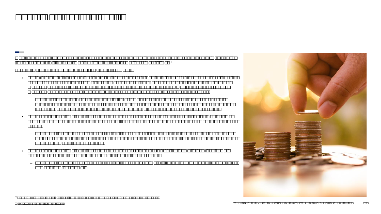### One-Time Transition Costs

 While the Consolidation Scenario is expected to generate operating cost savings over the long term, it is also likely that there will be one-time transition costs for some investment firms. $1$ 

The following key insights emerged from our assessment:

- • The migration of client holdings to a single book of record may be a large-scale endeavour that requires changes/upgrades to IT systems, government approvals to merge separate registered plans, project management plans and/or staff training on changes to day-to-day operational processes. management resources, and activities including internal and external communication plans, change
	- − The Participating Firms noted that dealers may employ varying approaches to undertaking this migration (e.g., staggered approach versus full transition of the investor base) and, therefore, the industry may benefit from flexible implementation timelines for the Consolidation Scenario.
- • The Participating Firms were concerned about the cost to repaper client accounts, which may be time consuming and administratively burdensome since it would require a new set of documentation for each client.
	- − The Consolidation Scenario addresses this concern, as (i) the regulatory approach avoids the need to repaper immediately and (ii) investment firms will repaper under the same schedule as the status quo requirements for repapering.
- • The Participating Firms were concerned about the cost to re-register client name to nominee name, which may be time consuming and administratively burdensome.
	- − The Consolidation Scenario addresses this concern, as firms will not be required to re-register client name to nominee name.



<sup>1</sup> Please note that the one-time transition costs herein have been explored and described qualitatively.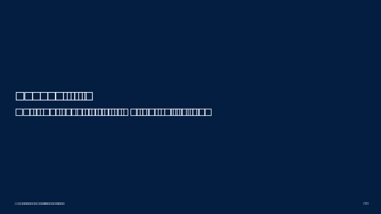## <span id="page-12-0"></span>**Appendix I**  Our Approach to Information Collection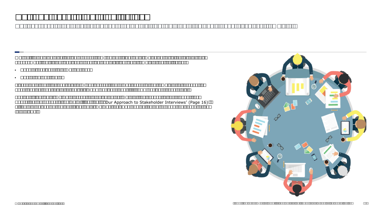### Our Approach to Data Collection

Our approach to data collection centered on distributing a detailed and standardized cost template.

 We facilitated a data collection process from the Participating Firms as an initial activity of this engagement. This step involved preparing and distributing a template that collected:

- General business information; and
- Operating Cost Data

 Please note that, for dual-platform businesses, there was space in the template to respond to questions as they relate to their (i) MFDA business and (ii) IIROC business separately.

 The Participating Firms were asked to provide an estimate of the change in costs under the Consolidation Scenario. As we will outline in 'Our Approach to Stakeholder Interviews' (Page 16), all data provided by the Participating Firms was reviewed and validated through the consultation interviews.

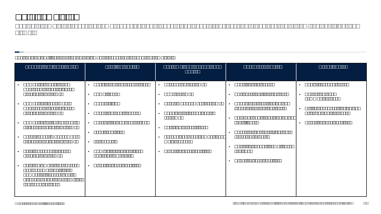## Data Template

 The data template requested comprehensive and standardized general business data and cost data from the Participating Firms.

| <b>General Business Data</b>                                                                                                                                                                                                                                                                                                                                                                                                                                            | <b>Staffing Costs</b>                                                                                                                                                                                                                 | <b>Systems and Technology</b><br><b>Costs</b>                                                                                                                                                                                                              | <b>Corporate Costs</b>                                                                                                                                                                                                                                                                 | <b>Other Costs</b>                                                                                                                                                              |
|-------------------------------------------------------------------------------------------------------------------------------------------------------------------------------------------------------------------------------------------------------------------------------------------------------------------------------------------------------------------------------------------------------------------------------------------------------------------------|---------------------------------------------------------------------------------------------------------------------------------------------------------------------------------------------------------------------------------------|------------------------------------------------------------------------------------------------------------------------------------------------------------------------------------------------------------------------------------------------------------|----------------------------------------------------------------------------------------------------------------------------------------------------------------------------------------------------------------------------------------------------------------------------------------|---------------------------------------------------------------------------------------------------------------------------------------------------------------------------------|
| Number of Registered<br>Representatives (Please<br>provide in $#$ form)<br>Number of Investment<br>Representatives (Please<br>provide in $#$ form)<br>Number of Client Accounts<br>(Please provide in # form)<br>Assets under management<br>(Please provide in \$ form)<br>Total Revenue (Please<br>provide in \$ form)<br><b>Total Volume of Purchases</b><br>and Redemptions (i.e.,<br>number of transactions;<br>Please provide in $#$ form, for<br>the 2018 period) | Registered representatives<br>Compliance<br>Supervision<br>Reporting and finance<br>Back office and operations<br>• Legal and risk<br>$\cdot$ IT support<br>Administrative services<br>(Clerical, HR, etc.)<br>Other (please specify) | • Accounting systems<br>CRM systems<br>$\bullet$<br>Order management systems<br>$\bullet$<br>Regulatory technology /<br>systems<br>Carrying broker fees<br>$\bullet$<br>Technology development and<br>$\bullet$<br>maintenance<br>• Other (please specify) | Rent / office space<br>Business registration fees<br>Regulatory fees (including<br>investor protection fees)<br>External audit fees (including<br>tax filings)<br>Subscription fees (clearing,<br>research, other)<br>Costs to support compliance<br>reviews<br>Other (please specify) | Capital Expenditures<br>$\bullet$<br>Marketing and<br>$\bullet$<br>communications<br>Office expenses (including<br>printing and storage)<br>Other (please specify)<br>$\bullet$ |

The table below illustrates the data elements requested through the template.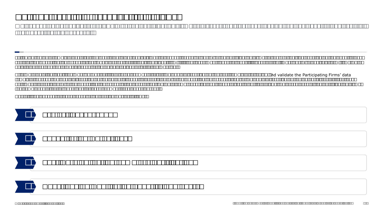### Our Approach to Stakeholder Interviews

We conducted extensive interviews with the Participating Firms to discuss their perspectives on the key benefits and costs of the Consolidation Scenario.

 Following the data template exercise, the next step in our analysis was to conduct consultations with the Participating Firms to capture their perspective on the benefits and costs of the Consolidation Scenario that would accrue to: (i) their individual firm, (ii) the investment industry, and (iii) investors. All meetings with dual-platform firms were held in person and there was a consultation guide provided prior to the meeting.

 At a more detailed level, the meeting was split into three segments. First, we had a discussion on the cost template to review and validate the Participating Firms' data template. Second, we had a discussion on the potential benefits associated with the Consolidation Scenario. Third, we had a discussion on the potential costs, risks, and detriments associated with the Consolidation Scenario. To ensure that we were comprehensive and standardized in our interviews, we asked each of the Participating Firms the same general set of questions for each segment (see Pages 17-19).

Overall, the agenda for each consultation session was as follows:

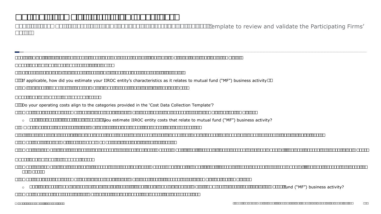### Our Data Template Interview Questions

 The first segment in each interview involved a discussion on the cost template to review and validate the Participating Firms' data.

The following list reflects the general questions we asked the Participating Firms to validate their data template.

#### **Questions on Business Characteristics Data**

- 1. Please provide us with a general overview of your business characteristics data.
- 2. If applicable, how did you estimate your IIROC entity's characteristics as it relates to mutual fund ("MF") business activity?
- 3. Within your IIROC entity, approximately what proportion of activity involves MFs?

#### **Questions on Operating Expenditures**

- 1. Do your operating costs align to the categories provided in the 'Cost Data Collection Template'?
- 2. What analyses and assumptions did you apply to estimate your operating expenditures in completing the template?
	- $\circ$  This includes: If applicable, how did you estimate IIROC entity costs that relate to mutual fund ("MF") business activity?
- 3. What was your approach for estimating cost savings under the Consolidation Scenario?
- 4. Is there anything especially unique about your operating expenditures in 2018 that would render the 2018 data non-representative of a typical year?
- 5. What were the normal course MFDA membership fees paid in the last year?
- 6. What are some of the large operating expenditures your business makes? What is the lifespan of these expenditures and when will the next expenditure need to be made?

#### **Questions on Capital Expenditures**

- 1. What are some of the large capital expenditures your business makes? Additionally, what is the lifespan of these expenditures and when will the next expenditure need to be made?
- 2. What analyses and assumptions did you apply to estimate your capital expenditures in completing the template?
	- $\circ$  This includes: How did you define a typical year? If applicable, how did you estimate IIROC entity costs that relate to mutual fund ("MF") business activity?
- 3. What was your approach for estimating cost savings under the Consolidation Scenario?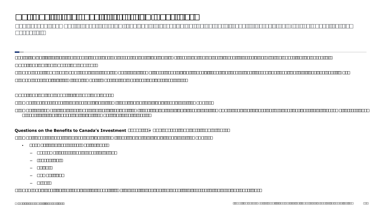### Our Qualitative Benefits Interview Questions

 The second segment in each interview involved a discussion on the potential benefits associated with the Consolidation Scenario.

The following list reflects the general questions we asked the Participating Firms regarding the potential benefits associated with the Consolidation Scenario.

#### **Questions on the Operating Context**

- 1. How have IIROC and MFDA regulatory requirements (e.g., compliance, supervision, financial reporting, operations, technology, auditing, etc.) evolved over time?
- 2. How have dual platform requirements impacted the way your business operates?

#### **Questions on the Benefits to your Business**

- 1. What business benefits do you anticipate from transitioning to a single regulatory framework?
- 2. What are some of the areas where potential savings from transitioning to a single regulatory framework could be reinvested into your business (e.g., consumer access and product offering, innovation, talent, competition, other areas)?

#### **Questions on the Benefits to Canada's Investment Industry – Businesses, Advisors, and Clients**

- 1. What industry benefits do you anticipate from transitioning to a single regulatory framework?
	- • Themes to be addressed may include:
		- − Consumer access and product offering
		- − Innovation,
		- − Talent
		- − Competition
		- − Other
- 2. How would you like the regulator to support firms in order to achieve the benefits discussed in the previous question?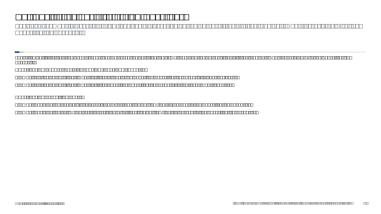### Our Qualitative Costs Interview Questions

 The third segment in each interview involved a discussion on the potential costs, risks, and detriments associated with the Consolidation Scenario.

 The following list reflects the general questions we asked the Participating Firms regarding the potential costs, risks, and detriments associated with the Consolidation Scenario.

#### **Questions on General Costs to your Business and Industry**

- 1. What are the potential detriments or risks of operating under the Consolidation Scenario to your business?
- 2. What are the potential detriments or risks under the Consolidation Scenario to the investment industry?

#### **Questions on Transition Costs**

- 1. What would be the key activities associated with transitioning from the status-quo to the Consolidation Scenario?
- 2. What would be the estimated costs associated with transitioning from the status-quo to the Consolidation Scenario?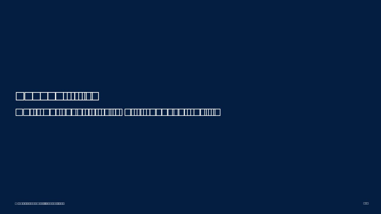## <span id="page-19-0"></span>**Appendix II**  Our Approach to Estimate Reduced Costs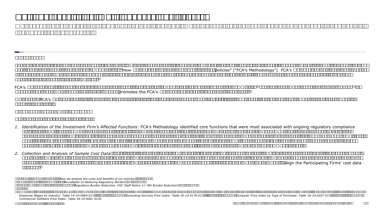## Our Approach to Estimate Reduced Costs (1/5)

We conducted extensive interviews with the Participating Firms to discuss their perspectives on the key benefits and costs of the Consolidation Scenario.

#### **Background**

 The guiding principles and approach underlying the estimate of reduced costs is adapted from guidelines published by the Financial Conduct Authority (FCA). In 2018, the FCA published a cost-benefit evaluation framework titled "How we analyse the costs and benefits of our policies" ("FCA's Methodology"). FCA's Methodology outlines steps required to analyze and estimate the costs and benefits of regulatory interventions, and includes guidance on the level of detail and accuracy required, evidence collection, and uncertainties in quantitative estimations.1

FCA's Methodology is recognized as a standard cost-benefit evaluation framework by the Ontario Securities Commission<sup>2</sup> and the Investment Funds Institute of Canada<sup>3</sup> in Canada. The Investment Funds Institute of Canada promotes the FCA's Methodology given its degree of robustness.4

 We adapted FCA's Methodology to align with the characteristics of the regulatory change under analysis (i.e., SRO consolidation) and requirements of our assessment of benefits and costs.

#### **High-Level Overview of Approach**

Our approach involved four key steps:

- *1. Identification of the Investment Firm's Affected Functions*: FCA's Methodology identified core functions that were most associated with ongoing regulatory compliance activities: compliance, human resources and training, information technology, legal, sales and marketing, and senior management. Reflected through the activities captured by the cost template, Deloitte adapted and expanded these core functions to align with those performed by dealers with respect to IIROC and MFDA compliance. Specifically, we identified the following functions as likely to be impacted by the Consolidation: sales; compliance; supervision; reporting and finance; back office and operations; legal and risk; information technology; administrative services; other ancillary functions (e.g., marketing and communications).
- *2. Collection and Analysis of Sample Cost Data*: Deloitte collected cost data from the Participating Firms through the cost template (as described in detail on Pages 14-19). The cost template was shared with the Participating Firms before the 2019 calendar year end, and as such, Participating Firms were requested to provide cost data with respect to the 2018 calendar year. As our analysis estimates cost savings from 2019 to 2028, inflation adjustments were made to align the Participating Firms' cost data to  $2019.5$

<sup>1.</sup> Financial Conduct Authority, *How we analyse the costs and benefits of our policies*, July 2018.

<sup>2.</sup> Ontario Securities Commission, *Roundtable on Reducing Regulatory Burden*, March 2019.

<sup>3.</sup> Investment Funds Institute of Canada, *Regulatory Burden Reduction: OSC Staff Notice 11-784 Burden Reduction*, March 2019.

<sup>4.</sup> Ibid.

<sup>5.</sup> When applicable, inflation adjustments were made by applying inflation factors from Statistics Canada to cost data provided by Participating Firms, by cost category. Inflation factors were obtained from the following so Employee Wages by Industry: Table 14-10-0064-01; (ii) Statistics Canada, Consulting Services Price Index: Table 18-10-0178-01; (iii) Statistics Canada, Computer Price Index by Type of Purchaser, Table 18-10-0207-01; (iv) S *Commercial Software Price Index: Table 18-10-0061-01*.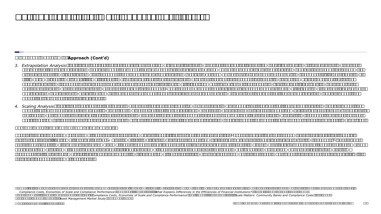#### **High-Level Overview of Approach (Cont'd)**

- party data to estimate the ratio of estimated cost savings to revenues.<sup>1</sup> The reason we undertook this step is because none of the small-sized firms that participated were dual-platform dealers. Ultimately, the sum of the operations undertaken in this step provided an estimation of cost savings realized by dual-platform dealers under the Consolidation Scenario for a single year. *3. Extrapolation Analysis*: This step involves the extrapolation of our sample data (i.e., estimated cost savings collected from Participating Firms) to obtain estimated cost savings realized by dual-platform dealers under the Consolidation Scenario. In this step, we segmented the population of dual-platform dealers to account for economies of scale across firm sizes (in terms of revenues). The population of dual-platform dealers was segmented into three groups based on firm revenues: (i) large-sized firms, (ii) medium-sized firms, and (iii) small-sized firms. At a high level, the ratio of estimated cost savings to revenues for each firm in our sample set was applied to the population of firm revenues within each group. The one exception is for the small-sized segment, in which we leveraged a mix of the Participating Firm data and third-
- *4. Scaling Analysis*: This step involved scaling the estimated cost savings obtained from Step 3 to estimate annual cost savings realized by dual-platform dealers under the Consolidation Scenario over a 10 year time horizon. We based our scaling analysis on market estimates of growth in assets under administration associated with dealers in the investment industry. At a high level, the ratio of estimated cost savings to revenues for each group was applied to our estimates of firm revenues, on a year-by-year basis. The sum of these operations provided an estimation of cost savings realized by dual-platform dealers under the Consolidation Scenario over a 10 year time horizon.

#### **Further Details on the Extrapolation Analysis**

Several studies have compared compliance costs across a sample of financial institutions that vary by size.<sup>2</sup> These studies find that economies of scale exist for financial institutions in fulfilling compliance obligations – e.g., smaller firms (in terms of assets under administration, which are strongly correlated with firm revenues)<sup>3</sup> incur higher costs than larger firms in pursuit of the same compliance standards. This observation is intuitive given that larger firms are more likely to have established large systems and dedicated teams for compliance, leading to higher efficiencies in compliance activities. Therefore, the investment industry may be segmented by size (in terms of firm revenues) in light of the empirical relationship between firm size and compliance costs. Firms within each segment of the investment industry are expected to exhibit similar ratios of revenues to compliance costs.

3. Financial Conduct Authority, *Asset Management Market Study*, November 2016.

<sup>1.</sup> Specifically, we used third-party data to adjust for the economies of scale realized by small-sized firms relative to medium-sized firms. The two key studies that formed the basis of this adjustment are: (i) Federal Res *Compliance Costs, Economies of Scale and Compliance Performance*, 2018 and (ii) Berger et al., *What Explains Differences in the Efficiencies of Financial Institutions?*, Journal of Banking and Finance, 1997.

<sup>2.</sup> For example: (i) Federal Reserve Bank of St. Louis, Compliance Costs, Economies of Scale and Compliance Performance, April 2018, (ii) Drew Dahl et al., Scale Matters: Community Banks and Compliance Costs, July 2016.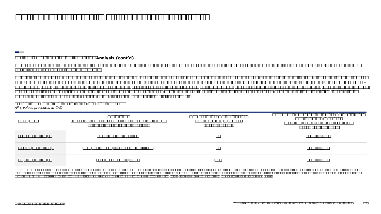### Our Approach to Estimate Reduced Costs (3/5)

#### **Further Details on the Extrapolation Analysis (cont'd)**

We extrapolated the sample data collected from Participating Firms (i.e., cost savings under the Consolidation Scenario) to estimate cost savings realized by dual-platform dealers under the Consolidation Scenario.

 As a first step, we segmented the population of dual-platform dealers by revenues to account for the presence of economies of scale in fulfilling compliance obligations. Based on data provided by IIROC, there were 25 dual-platform dealers active as at January 2020. The IIROC entities of dual-platform dealers vary significantly by annual revenues – ranging from \$3 million to \$7,351 million (based on the most recent fiscal year as at December 31, 2019). We analyzed the distribution of dual-platform dealers by the annual revenues realized by their IIROC entities to develop an approach for segmenting the investment industry. This enabled the segmentation of all dual-platform dealers into three groups: (i) large-sized firms, (ii) medium-sized firms, and (iii) small-sized firms.

### **Table 1: Segmentation of Dual-Platform Firms, by Revenues**

 *All \$ values presented in CAD* 

| Segment           | <b>Definition</b><br>(Based on annual revenues generated by the IIROC<br>entities of dual-platform dealers) | <b>Number of IIROC Entities of</b><br><b>Dual-Platform Dealers</b><br>(January 2020) | <b>Revenues Generated by the IIROC Entities of</b><br><b>Dual-Platform Dealers</b><br>(For the most recent fiscal year as at<br>December 31, 2019) |
|-------------------|-------------------------------------------------------------------------------------------------------------|--------------------------------------------------------------------------------------|----------------------------------------------------------------------------------------------------------------------------------------------------|
| Large-sized firms | More than \$2.5 billion                                                                                     | 8                                                                                    | \$24.3 billion                                                                                                                                     |
| Medium-sized firm | Between \$200 million and \$2.5 billion                                                                     | b                                                                                    | \$2.2 billion                                                                                                                                      |
| Small-sized firms | Less than \$200 million                                                                                     | 11                                                                                   | \$0.5 billion                                                                                                                                      |

Source: IIROC. Deloitte Analysis. Notes: The revenues presented refer to annual revenues realized by the IIROC entities of dual-platform dealers. Due to data limitations, we could not ascertain the annual revenues realized MFDA entities of dual-platform dealers. As such, our approach assumes that the revenues generated by the IIROC and MFDA entities of dual-platform dealers within each segment follow a similar distribution to the correspondi within each segment (i.e., the ratio of IIROC entity revenue to MFDA entity revenue for each Participating Firm is similar to the other dual-platform dealers in its associated segment).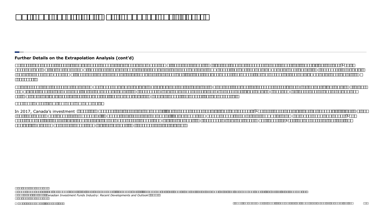#### **Further Details on the Extrapolation Analysis (cont'd)**

As described above, several studies have found a relationship between compliance costs and firm size (defined by revenues in our study) for financial institutions.<sup>1</sup> This observation implies that both compliance costs before and after a regulatory intervention (e.g., SRO consolidation) can be viewed as a function of firm revenues. Intuitively, the difference between compliance costs before and after a regulatory intervention (i.e., cost savings under the Consolidation Scenario) can be viewed as a function of firm revenues.

 As a second step, based on the aforementioned guiding principle, we calculated the ratios of estimated cost savings to revenues associated with the Participating Firms in our sample set. The ratios were applied to the population of firm revenues within the group associated with each Participating Firm. The sum of these operations provided an estimation of a single year of cost savings realized by dual-platform dealers under the Consolidation Scenario.

#### **Further Details on the Scaling Analysis**

In 2017, Canada's investment industry managed total assets of \$4,277 billion through seven key distribution channels.<sup>2</sup> Across these key distribution channels, it is estimated that the investment industry in Canada will manage total assets of \$7,041 billion by 2026 (compound annual growth rate [CAGR] of 5.7% between 2017 and 2026).<sup>3</sup> As described earlier, there is a strong correlation between assets under administration and firm revenues within the investment industry.<sup>4</sup> For the purposes of our scaling analysis, we assumed assets under administration and firm revenues are correlated.

<sup>1.</sup> Please see Page 22.

<sup>2.</sup> The seven key distribution channels are: (i) full-service brokerage, (ii) branch direct, (iii) branch advice, (iv) financial advisor, (v) private wealth, (vi) online brokerage, and (vii) direct seller or robo-advice.

<sup>3.</sup> Strategic Insights, *Canadian Investment Funds Industry: Recent Developments and Outlook*, 2019.

<sup>4.</sup> Please see Page 22.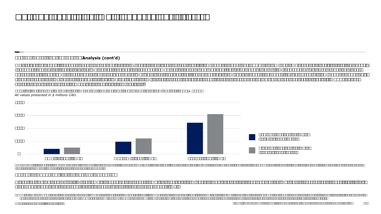### Our Approach to Estimate Reduced Costs (5/5)

#### **Further Details on the Scaling Analysis (cont'd)**

We scaled the annual revenues generated by dual-platform dealers on a year-by-year basis from 2019 to 2028. The CAGR of 5.7% was employed as a basis for scaling annual revenues. Thereafter, the ratio of estimated cost savings to revenues computed for each group was applied to the population of firm revenues within each group, on a year by-year basis. The sum of these operations provided an estimation of cost savings realized by dual-platform dealers under the Consolidation Scenario from 2019 to 2028. This study presents estimated cost savings for this time horizon in terms of net present value (discount rates are based on the weighted average cost of capital [WACC] values associated with the parent companies of dual-platform dealers). $1$ 

**Chart 1: Net Present Values of Estimated Cost Savings Realized by Dual-Platform Dealers, 2019 – 2028**  *All values presented in \$ millions CAD.* 



Source: Deloitte Analysis. Note: Given that the Consolidation Scenario is based on SRO consolidation, and it does not consider the Autorité des Marchés Financiers or the Chambre de la sécurité financière, the benefits and they relate to mutual fund activities carried on outside Quebec.

#### **Potential Opportunities for Further Research**

 Given that we worked with a limited sample, engaging a broader sample of dual-platform dealers would serve to strengthen our estimation of reduced costs. Specifically, this step would enable us to account for differences in cost structures between firms.

1. We estimated WACCs associated with the parent companies of dual-platform dealers (public companies only) based on financial information for the most recent year as at December 31, 2019 to develop a range of discount rat our net present value calculations. The minimum value (3.3%) and maximum value (7.9%) from our estimations were leveraged to develop a range of discount rates for the net present value calculations in this analysis.

© Deloitte LLP and affiliated entities.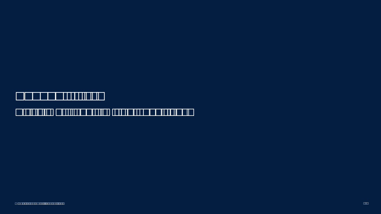## <span id="page-25-0"></span>**Appendix III**  Disclaimers and Limiting Conditions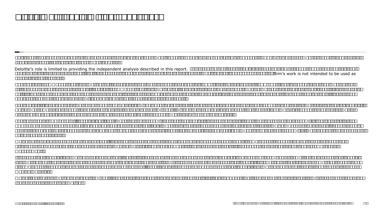### Disclaimers and Limiting Conditions

This report has been provided for the purpose of providing the Investment Industry Regulatory Organization of Canada (IIROC) with an assessment of benefits and costs of regulatory consolidation in the investment industry.

 Deloitte's role is limited to providing the independent analysis described in this report. In presenting our results, Deloitte takes no view or cannot undertake any role that Deloitte's role is limited to providing the independent analysis described in this report. In presenting our results, Deloitte takes no view or cannot undertake any role that<br>could be fairly interpreted as public policy ad such or in that context.

 Any advice, recommendations, information, deliverables or other work product provided to IIROC is for the sole use of IIROC and is not intended to be, and may not be, relied upon by any third party, and all advice, recommendations, information, deliverables, or other work product may be marked to so indicate. This report is offered as a holistic work and should be read and interpreted only in its entirety. Selecting portions of the analysis or the factors considered by it, without considering all factors and analyses together, could create a misleading view of the issues related to the report.

 The analysis is provided as of March 20, 2020, and we disclaim any undertaking or obligation to advise any person of any change in any fact or matter affecting this analysis, which may come or be brought to our attention after the date hereof. Without limiting the foregoing, in the event that there is any material change in any fact or matter affecting the analysis after the date hereof, we reserve the right to change, modify or withdraw the analysis.

 The outbreak of COVID-19 will have a significant impact on the economic outlook. The analysis presented in this report was based on the economic situation prior to the COVID-19 outbreak and does not include any consideration of the likely impact of either of these events or the related fiscal stimulus measures. As a result, readers should carefully consider the relevance of the views and findings contained in this report as the basis for any decisions made in the current economic climate against the backdrop of heightened uncertainty.

We do not provide assurance on the achievability of any forecasted results contained herein because events and circumstances frequently do not occur as expected, differences between actual and expected results may be material, and achievement of the forecasted results is dependent on actions, plans, and assumptions of management.

 If prospective financial information provided by the client or its representatives has been used in this analysis, we have not examined or compiled the prospective financial information and, therefore, do not express an audit opinion or any other form of assurance on the prospective financial information or the related assumptions. Events and circumstances frequently do not occur as expected and there will usually be differences between prospective financial information and actual results, and those differences may be material.

We believe the information obtained from public sources or furnished to us by other sources is reliable. However, we issue no warranty or other form of assurance regarding the accuracy of such information.